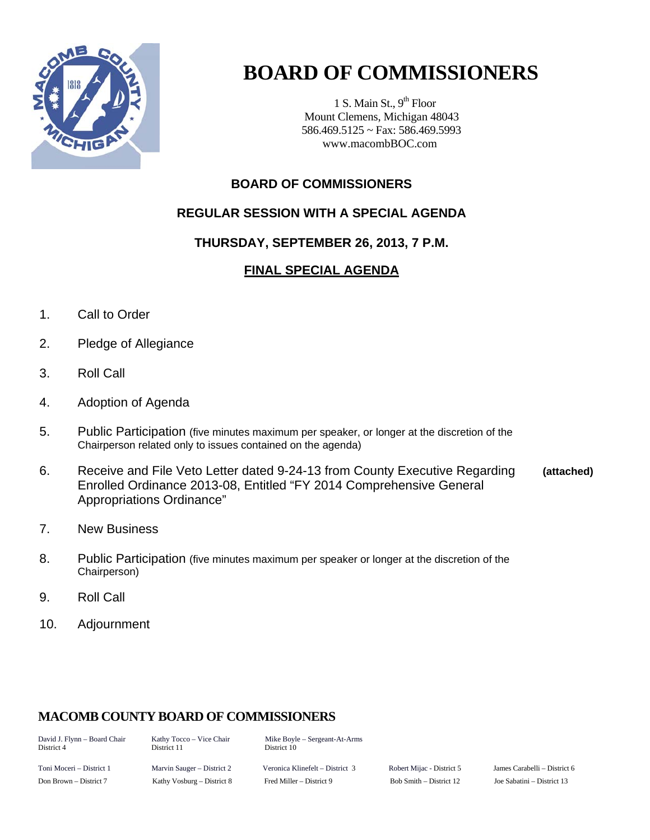

# **BOARD OF COMMISSIONERS**

1 S. Main St.,  $9<sup>th</sup>$  Floor Mount Clemens, Michigan 48043 586.469.5125 ~ Fax: 586.469.5993 www.macombBOC.com

## **BOARD OF COMMISSIONERS**

## **REGULAR SESSION WITH A SPECIAL AGENDA**

## **THURSDAY, SEPTEMBER 26, 2013, 7 P.M.**

## **FINAL SPECIAL AGENDA**

- 1. Call to Order
- 2. Pledge of Allegiance
- 3. Roll Call
- 4. Adoption of Agenda
- 5. Public Participation (five minutes maximum per speaker, or longer at the discretion of the Chairperson related only to issues contained on the agenda)
- 6. Receive and File Veto Letter dated 9-24-13 from County Executive Regarding **(attached)**  Enrolled Ordinance 2013-08, Entitled "FY 2014 Comprehensive General Appropriations Ordinance"
- 7. New Business
- 8. Public Participation (five minutes maximum per speaker or longer at the discretion of the Chairperson)
- 9. Roll Call
- 10. Adjournment

## **MACOMB COUNTY BOARD OF COMMISSIONERS**

District 11 District 10

David J. Flynn – Board Chair Kathy Tocco – Vice Chair Mike Boyle – Sergeant-At-Arms<br>District 4 District 11 District 10

Toni Moceri – District 1 Marvin Sauger – District 2 Veronica Klinefelt – District 3 Robert Mijac - District 5 James Carabelli – District 6 Don Brown – District 7 Kathy Vosburg – District 8 Fred Miller – District 9 Bob Smith – District 12 Joe Sabatini – District 13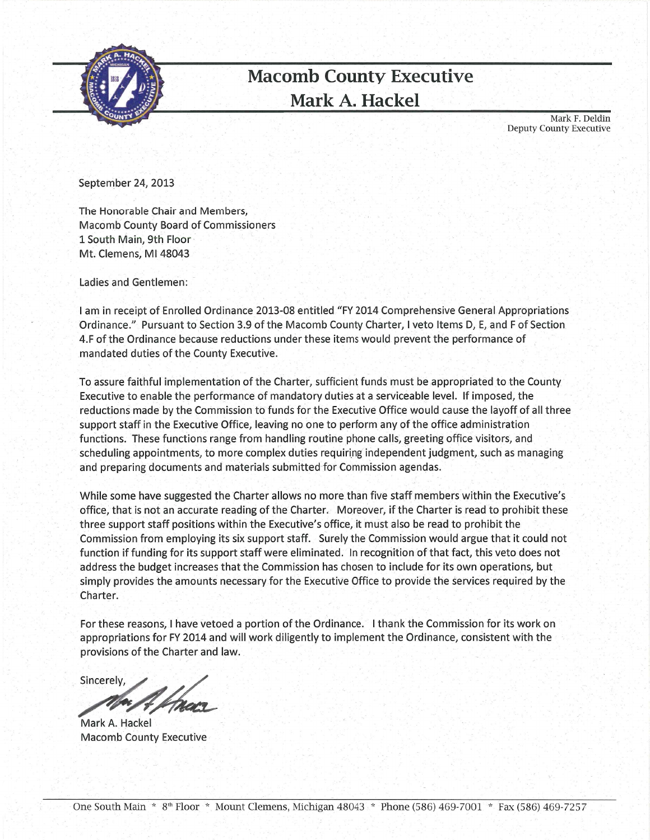

## **Macomb County Executive** Mark A. Hackel

Mark F. Deldin **Deputy County Executive** 

September 24, 2013

The Honorable Chair and Members, **Macomb County Board of Commissioners** 1 South Main, 9th Floor Mt. Clemens, MI 48043

Ladies and Gentlemen:

I am in receipt of Enrolled Ordinance 2013-08 entitled "FY 2014 Comprehensive General Appropriations Ordinance." Pursuant to Section 3.9 of the Macomb County Charter, I veto Items D, E, and F of Section 4.F of the Ordinance because reductions under these items would prevent the performance of mandated duties of the County Executive.

To assure faithful implementation of the Charter, sufficient funds must be appropriated to the County Executive to enable the performance of mandatory duties at a serviceable level. If imposed, the reductions made by the Commission to funds for the Executive Office would cause the layoff of all three support staff in the Executive Office, leaving no one to perform any of the office administration functions. These functions range from handling routine phone calls, greeting office visitors, and scheduling appointments, to more complex duties requiring independent judgment, such as managing and preparing documents and materials submitted for Commission agendas.

While some have suggested the Charter allows no more than five staff members within the Executive's office, that is not an accurate reading of the Charter. Moreover, if the Charter is read to prohibit these three support staff positions within the Executive's office, it must also be read to prohibit the Commission from employing its six support staff. Surely the Commission would argue that it could not function if funding for its support staff were eliminated. In recognition of that fact, this veto does not address the budget increases that the Commission has chosen to include for its own operations, but simply provides the amounts necessary for the Executive Office to provide the services required by the Charter.

For these reasons, I have vetoed a portion of the Ordinance. I thank the Commission for its work on appropriations for FY 2014 and will work diligently to implement the Ordinance, consistent with the provisions of the Charter and law.

Sincerely,

Mark A. Hackel **Macomb County Executive**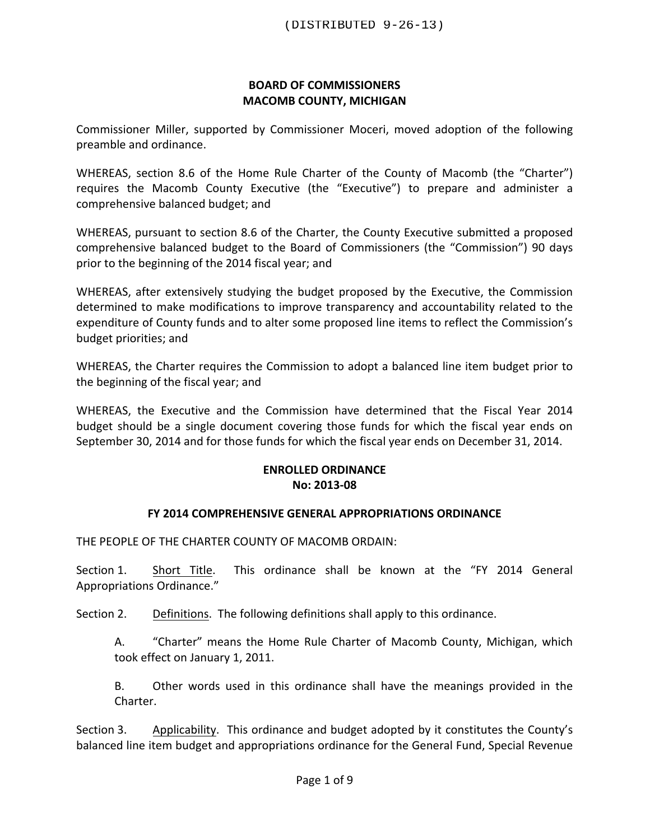#### **BOARD OF COMMISSIONERS MACOMB COUNTY, MICHIGAN**

Commissioner Miller, supported by Commissioner Moceri, moved adoption of the following preamble and ordinance.

WHEREAS, section 8.6 of the Home Rule Charter of the County of Macomb (the "Charter") requires the Macomb County Executive (the "Executive") to prepare and administer a comprehensive balanced budget; and

WHEREAS, pursuant to section 8.6 of the Charter, the County Executive submitted a proposed comprehensive balanced budget to the Board of Commissioners (the "Commission") 90 days prior to the beginning of the 2014 fiscal year; and

WHEREAS, after extensively studying the budget proposed by the Executive, the Commission determined to make modifications to improve transparency and accountability related to the expenditure of County funds and to alter some proposed line items to reflect the Commission's budget priorities; and

WHEREAS, the Charter requires the Commission to adopt a balanced line item budget prior to the beginning of the fiscal year; and

WHEREAS, the Executive and the Commission have determined that the Fiscal Year 2014 budget should be a single document covering those funds for which the fiscal year ends on September 30, 2014 and for those funds for which the fiscal year ends on December 31, 2014.

#### **ENROLLED ORDINANCE No: 2013-08**

#### **FY 2014 COMPREHENSIVE GENERAL APPROPRIATIONS ORDINANCE**

THE PEOPLE OF THE CHARTER COUNTY OF MACOMB ORDAIN:

Section 1. Short Title. This ordinance shall be known at the "FY 2014 General Appropriations Ordinance."

Section 2. Definitions. The following definitions shall apply to this ordinance.

A. "Charter" means the Home Rule Charter of Macomb County, Michigan, which took effect on January 1, 2011.

B. Other words used in this ordinance shall have the meanings provided in the Charter. 

Section 3. Applicability. This ordinance and budget adopted by it constitutes the County's balanced line item budget and appropriations ordinance for the General Fund, Special Revenue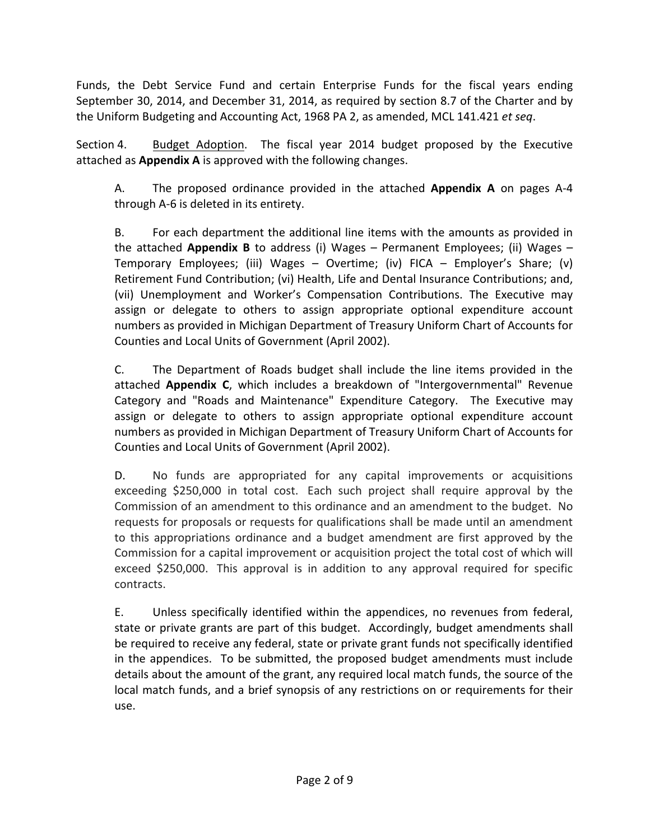Funds, the Debt Service Fund and certain Enterprise Funds for the fiscal years ending September 30, 2014, and December 31, 2014, as required by section 8.7 of the Charter and by the Uniform Budgeting and Accounting Act, 1968 PA 2, as amended, MCL 141.421 et seq.

Section 4. Budget Adoption. The fiscal year 2014 budget proposed by the Executive attached as **Appendix A** is approved with the following changes.

A. The proposed ordinance provided in the attached **Appendix A** on pages A-4 through A-6 is deleted in its entirety.

B. For each department the additional line items with the amounts as provided in the attached **Appendix B** to address (i) Wages – Permanent Employees; (ii) Wages – Temporary Employees; (iii) Wages - Overtime; (iv) FICA - Employer's Share; (v) Retirement Fund Contribution; (vi) Health, Life and Dental Insurance Contributions; and, (vii) Unemployment and Worker's Compensation Contributions. The Executive may assign or delegate to others to assign appropriate optional expenditure account numbers as provided in Michigan Department of Treasury Uniform Chart of Accounts for Counties and Local Units of Government (April 2002).

C. The Department of Roads budget shall include the line items provided in the attached **Appendix C**, which includes a breakdown of "Intergovernmental" Revenue Category and "Roads and Maintenance" Expenditure Category. The Executive may assign or delegate to others to assign appropriate optional expenditure account numbers as provided in Michigan Department of Treasury Uniform Chart of Accounts for Counties and Local Units of Government (April 2002).

D. No funds are appropriated for any capital improvements or acquisitions exceeding \$250,000 in total cost. Each such project shall require approval by the Commission of an amendment to this ordinance and an amendment to the budget. No requests for proposals or requests for qualifications shall be made until an amendment to this appropriations ordinance and a budget amendment are first approved by the Commission for a capital improvement or acquisition project the total cost of which will exceed \$250,000. This approval is in addition to any approval required for specific contracts.

E. Unless specifically identified within the appendices, no revenues from federal, state or private grants are part of this budget. Accordingly, budget amendments shall be required to receive any federal, state or private grant funds not specifically identified in the appendices. To be submitted, the proposed budget amendments must include details about the amount of the grant, any required local match funds, the source of the local match funds, and a brief synopsis of any restrictions on or requirements for their use.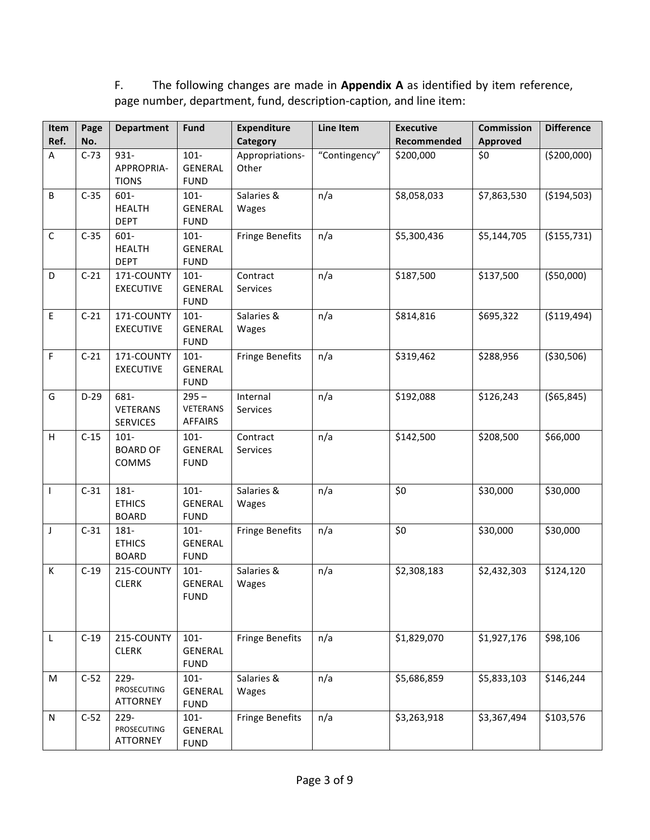## F. The following changes are made in **Appendix A** as identified by item reference, page number, department, fund, description-caption, and line item:

| Item<br>Ref. | Page<br>No. | <b>Department</b>                          | Fund                                         | <b>Expenditure</b><br>Category | Line Item     | <b>Executive</b><br>Recommended | <b>Commission</b><br><b>Approved</b> | <b>Difference</b> |
|--------------|-------------|--------------------------------------------|----------------------------------------------|--------------------------------|---------------|---------------------------------|--------------------------------------|-------------------|
| $\mathsf A$  | $C-73$      | 931-<br>APPROPRIA-<br><b>TIONS</b>         | $101 -$<br><b>GENERAL</b><br><b>FUND</b>     | Appropriations-<br>Other       | "Contingency" | \$200,000                       | \$0                                  | ( \$200,000)      |
| B            | $C-35$      | 601-<br><b>HEALTH</b><br><b>DEPT</b>       | $101 -$<br><b>GENERAL</b><br><b>FUND</b>     | Salaries &<br>Wages            | n/a           | \$8,058,033                     | \$7,863,530                          | ( \$194, 503)     |
| $\mathsf C$  | $C-35$      | 601-<br><b>HEALTH</b><br><b>DEPT</b>       | $101 -$<br>GENERAL<br><b>FUND</b>            | <b>Fringe Benefits</b>         | n/a           | \$5,300,436                     | \$5,144,705                          | ( \$155, 731)     |
| D            | $C-21$      | 171-COUNTY<br><b>EXECUTIVE</b>             | $101 -$<br><b>GENERAL</b><br><b>FUND</b>     | Contract<br>Services           | n/a           | \$187,500                       | \$137,500                            | ( \$50,000)       |
| $\mathsf E$  | $C-21$      | 171-COUNTY<br><b>EXECUTIVE</b>             | $101 -$<br><b>GENERAL</b><br><b>FUND</b>     | Salaries &<br>Wages            | n/a           | \$814,816                       | \$695,322                            | ( \$119,494)      |
| $\mathsf F$  | $C-21$      | 171-COUNTY<br><b>EXECUTIVE</b>             | $101 -$<br><b>GENERAL</b><br><b>FUND</b>     | <b>Fringe Benefits</b>         | n/a           | \$319,462                       | \$288,956                            | ( \$30,506)       |
| G            | $D-29$      | 681-<br><b>VETERANS</b><br><b>SERVICES</b> | $295 -$<br><b>VETERANS</b><br><b>AFFAIRS</b> | Internal<br><b>Services</b>    | n/a           | \$192,088                       | \$126,243                            | ( \$65, 845)      |
| H            | $C-15$      | $101 -$<br><b>BOARD OF</b><br>COMMS        | $101 -$<br><b>GENERAL</b><br><b>FUND</b>     | Contract<br>Services           | n/a           | \$142,500                       | \$208,500                            | \$66,000          |
| $\mathsf{I}$ | $C-31$      | 181-<br><b>ETHICS</b><br><b>BOARD</b>      | $101 -$<br>GENERAL<br><b>FUND</b>            | Salaries &<br>Wages            | n/a           | \$0                             | \$30,000                             | \$30,000          |
| J            | $C-31$      | 181-<br><b>ETHICS</b><br><b>BOARD</b>      | $101 -$<br>GENERAL<br><b>FUND</b>            | <b>Fringe Benefits</b>         | n/a           | \$0                             | \$30,000                             | \$30,000          |
| К            | $C-19$      | 215-COUNTY<br><b>CLERK</b>                 | $101 -$<br>GENERAL<br><b>FUND</b>            | Salaries &<br>Wages            | n/a           | \$2,308,183                     | \$2,432,303                          | \$124,120         |
| $\mathsf L$  | $C-19$      | 215-COUNTY<br><b>CLERK</b>                 | $101 -$<br>GENERAL<br><b>FUND</b>            | <b>Fringe Benefits</b>         | n/a           | \$1,829,070                     | \$1,927,176                          | \$98,106          |
| M            | $C-52$      | $229 -$<br>PROSECUTING<br>ATTORNEY         | $101 -$<br>GENERAL<br><b>FUND</b>            | Salaries &<br>Wages            | n/a           | \$5,686,859                     | \$5,833,103                          | \$146,244         |
| ${\sf N}$    | $C-52$      | $229 -$<br>PROSECUTING<br>ATTORNEY         | $101 -$<br>GENERAL<br><b>FUND</b>            | <b>Fringe Benefits</b>         | n/a           | \$3,263,918                     | \$3,367,494                          | \$103,576         |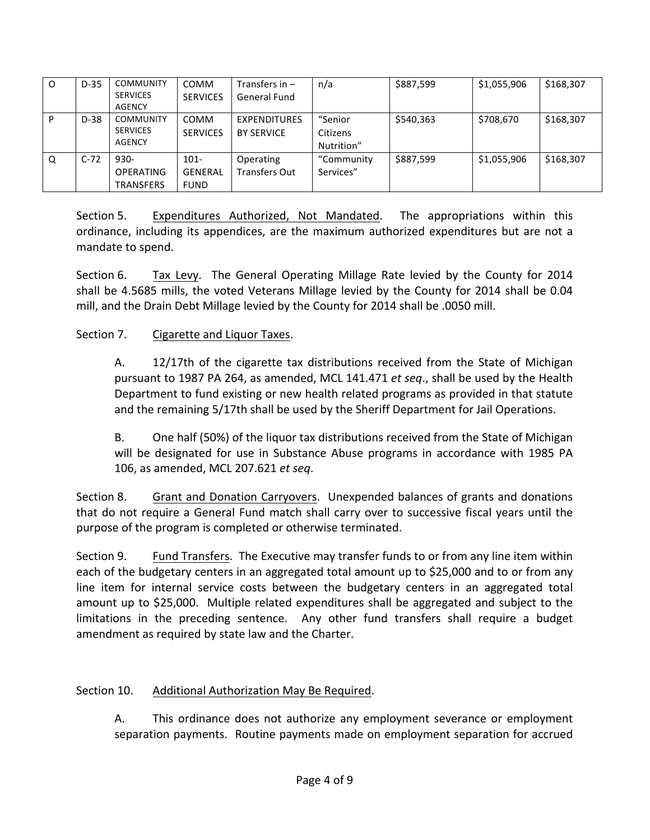| $\Omega$ | $D-35$ | <b>COMMUNITY</b><br><b>SERVICES</b><br><b>AGENCY</b> | <b>COMM</b><br><b>SERVICES</b>           | Transfers in $-$<br>General Fund         | n/a                               | \$887,599 | \$1,055,906 | \$168,307 |
|----------|--------|------------------------------------------------------|------------------------------------------|------------------------------------------|-----------------------------------|-----------|-------------|-----------|
| P        | $D-38$ | <b>COMMUNITY</b><br><b>SERVICES</b><br><b>AGENCY</b> | <b>COMM</b><br><b>SERVICES</b>           | <b>EXPENDITURES</b><br><b>BY SERVICE</b> | "Senior<br>Citizens<br>Nutrition" | \$540,363 | \$708,670   | \$168,307 |
| Q        | $C-72$ | $930 -$<br><b>OPERATING</b><br><b>TRANSFERS</b>      | $101 -$<br><b>GENERAL</b><br><b>FUND</b> | Operating<br><b>Transfers Out</b>        | "Community<br>Services"           | \$887,599 | \$1,055,906 | \$168,307 |

Section 5. Expenditures Authorized, Not Mandated. The appropriations within this ordinance, including its appendices, are the maximum authorized expenditures but are not a mandate to spend.

Section 6. Tax Levy. The General Operating Millage Rate levied by the County for 2014 shall be 4.5685 mills, the voted Veterans Millage levied by the County for 2014 shall be 0.04 mill, and the Drain Debt Millage levied by the County for 2014 shall be .0050 mill.

## Section 7. Cigarette and Liquor Taxes.

A.  $12/17$ th of the cigarette tax distributions received from the State of Michigan pursuant to 1987 PA 264, as amended, MCL 141.471 et seq., shall be used by the Health Department to fund existing or new health related programs as provided in that statute and the remaining 5/17th shall be used by the Sheriff Department for Jail Operations.

B. One half (50%) of the liquor tax distributions received from the State of Michigan will be designated for use in Substance Abuse programs in accordance with 1985 PA 106, as amended, MCL 207.621 *et seq*. 

Section 8. Grant and Donation Carryovers. Unexpended balances of grants and donations that do not require a General Fund match shall carry over to successive fiscal years until the purpose of the program is completed or otherwise terminated.

Section 9. Fund Transfers. The Executive may transfer funds to or from any line item within each of the budgetary centers in an aggregated total amount up to \$25,000 and to or from any line item for internal service costs between the budgetary centers in an aggregated total amount up to \$25,000. Multiple related expenditures shall be aggregated and subject to the limitations in the preceding sentence. Any other fund transfers shall require a budget amendment as required by state law and the Charter.

### Section 10. Additional Authorization May Be Required.

A. This ordinance does not authorize any employment severance or employment separation payments. Routine payments made on employment separation for accrued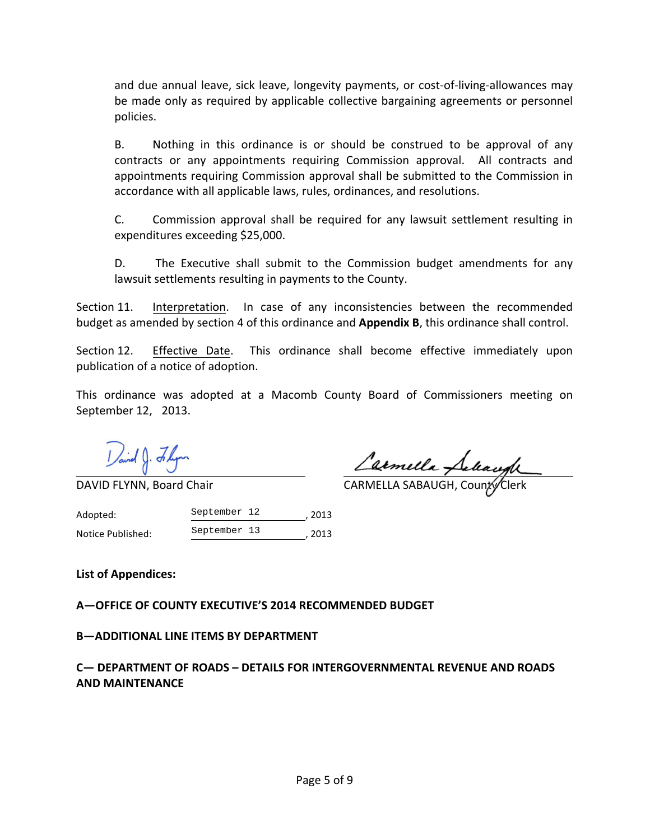and due annual leave, sick leave, longevity payments, or cost-of-living-allowances may be made only as required by applicable collective bargaining agreements or personnel policies. 

B. Nothing in this ordinance is or should be construed to be approval of any contracts or any appointments requiring Commission approval. All contracts and appointments requiring Commission approval shall be submitted to the Commission in accordance with all applicable laws, rules, ordinances, and resolutions.

C. Commission approval shall be required for any lawsuit settlement resulting in expenditures exceeding \$25,000.

D. The Executive shall submit to the Commission budget amendments for any lawsuit settlements resulting in payments to the County.

Section 11. Interpretation. In case of any inconsistencies between the recommended budget as amended by section 4 of this ordinance and **Appendix B**, this ordinance shall control.

Section 12. Effective Date. This ordinance shall become effective immediately upon publication of a notice of adoption.

This ordinance was adopted at a Macomb County Board of Commissioners meeting on September 12, 2013.

Lamella Pelacyl

DAVID FLYNN, Board Chair **CARMELLA SABAUGH, County** Clerk

Adopted: September 12 , 2013 Notice Published:  $\frac{Septemperature}{13}$ , 2013 September 13

List of Appendices:

**A-OFFICE OF COUNTY EXECUTIVE'S 2014 RECOMMENDED BUDGET** 

**B-ADDITIONAL LINE ITEMS BY DEPARTMENT** 

**C— DEPARTMENT OF ROADS – DETAILS FOR INTERGOVERNMENTAL REVENUE AND ROADS AND MAINTENANCE**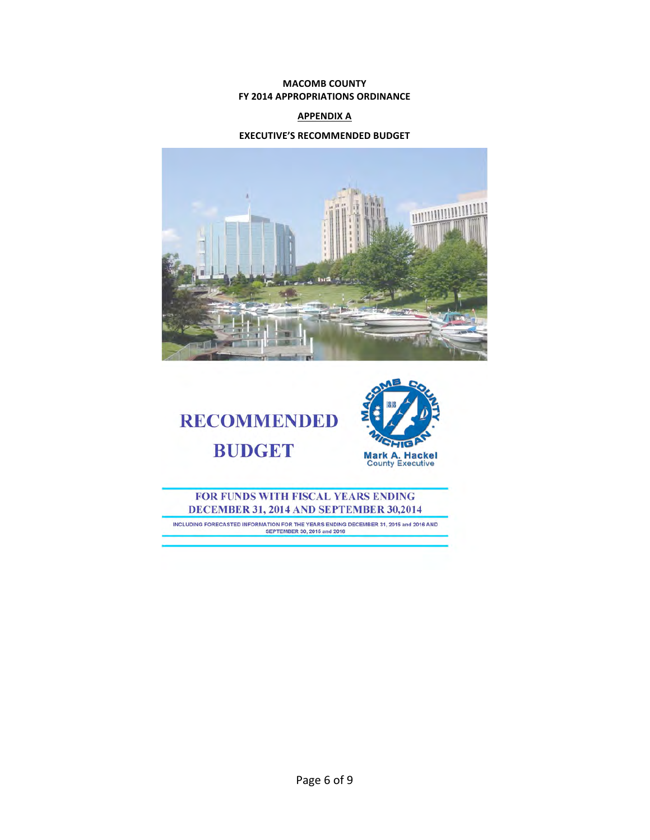#### **MACOMB COUNTY FY 2014 APPROPRIATIONS ORDINANCE**

#### **APPENDIX A**

#### **EXECUTIVE'S RECOMMENDED BUDGET**







#### FOR FUNDS WITH FISCAL YEARS ENDING DECEMBER 31, 2014 AND SEPTEMBER 30,2014

INCLUDING FORECASTED INFORMATION FOR THE YEARS ENDING DECEMBER 31, 2015 and 2016 AND<br>SEPTEMBER 30, 2015 and 2016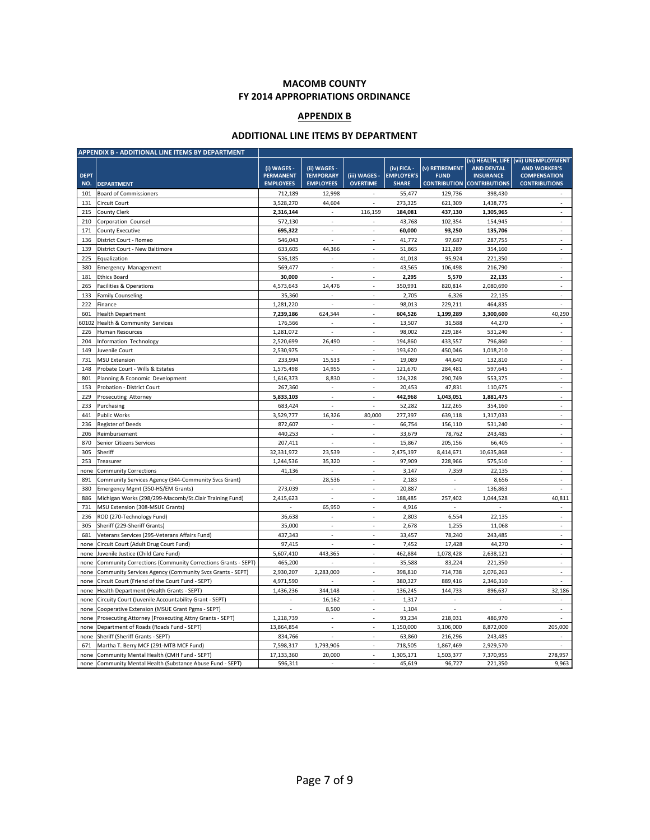#### **MACOMB COUNTY FY 2014 APPROPRIATIONS ORDINANCE**

#### **APPENDIX B**

#### **ADDITIONAL LINE ITEMS BY DEPARTMENT**

| APPENDIX B - ADDITIONAL LINE ITEMS BY DEPARTMENT |                                                             |                                                     |                                                      |                                  |                                                  |                               |                                                                            |                                                                                                            |
|--------------------------------------------------|-------------------------------------------------------------|-----------------------------------------------------|------------------------------------------------------|----------------------------------|--------------------------------------------------|-------------------------------|----------------------------------------------------------------------------|------------------------------------------------------------------------------------------------------------|
| <b>DEPT</b><br>NO.                               | <b>DEPARTMENT</b>                                           | (i) WAGES -<br><b>PERMANENT</b><br><b>EMPLOYEES</b> | (ii) WAGES -<br><b>TEMPORARY</b><br><b>EMPLOYEES</b> | (iii) WAGES -<br><b>OVERTIME</b> | (iv) FICA -<br><b>EMPLOYER'S</b><br><b>SHARE</b> | (v) RETIREMENT<br><b>FUND</b> | <b>AND DENTAL</b><br><b>INSURANCE</b><br><b>CONTRIBUTION CONTRIBUTIONS</b> | (vi) HEALTH, LIFE (vii) UNEMPLOYMENT<br><b>AND WORKER'S</b><br><b>COMPENSATION</b><br><b>CONTRIBUTIONS</b> |
| 101                                              | <b>Board of Commissioners</b>                               | 712,189                                             | 12,998                                               |                                  | 55,477                                           | 129,736                       | 398,430                                                                    |                                                                                                            |
| 131                                              | Circuit Court                                               | 3,528,270                                           | 44,604                                               | $\overline{a}$                   | 273,325                                          | 621,309                       | 1,438,775                                                                  | $\mathbf{r}$                                                                                               |
| 215                                              | County Clerk                                                | 2,316,144                                           | ٠                                                    | 116,159                          | 184,081                                          | 437,130                       | 1,305,965                                                                  | ä,                                                                                                         |
| 210                                              | Corporation Counsel                                         | 572,130                                             | J.                                                   |                                  | 43,768                                           | 102,354                       | 154,945                                                                    | $\overline{\phantom{a}}$                                                                                   |
| 171                                              | <b>County Executive</b>                                     | 695,322                                             | J.                                                   | $\sim$                           | 60,000                                           | 93,250                        | 135,706                                                                    | $\mathcal{L}$                                                                                              |
| 136                                              | District Court - Romeo                                      | 546,043                                             | ٠                                                    | ٠                                | 41,772                                           | 97,687                        | 287,755                                                                    | ÷.                                                                                                         |
| 139                                              | District Court - New Baltimore                              | 633,605                                             | 44,366                                               | $\sim$                           | 51,865                                           | 121,289                       | 354,160                                                                    | ÷.                                                                                                         |
| 225                                              | Equalization                                                | 536,185                                             |                                                      |                                  | 41,018                                           | 95,924                        | 221,350                                                                    | $\overline{\phantom{a}}$                                                                                   |
| 380                                              | <b>Emergency Management</b>                                 | 569,477                                             | ÷,                                                   | ٠                                | 43,565                                           | 106,498                       | 216,790                                                                    | $\overline{\phantom{a}}$                                                                                   |
| 181                                              | <b>Ethics Board</b>                                         | 30,000                                              | J.                                                   | ÷                                | 2,295                                            | 5,570                         | 22,135                                                                     | $\mathcal{L}$                                                                                              |
| 265                                              | Facilities & Operations                                     | 4,573,643                                           | 14,476                                               | $\overline{\phantom{a}}$         | 350,991                                          | 820,814                       | 2,080,690                                                                  | $\overline{\phantom{a}}$                                                                                   |
| 133                                              | <b>Family Counseling</b>                                    | 35,360                                              | ÷                                                    | $\overline{\phantom{a}}$         | 2,705                                            | 6,326                         | 22,135                                                                     | $\overline{\phantom{a}}$                                                                                   |
| 222                                              | Finance                                                     | 1,281,220                                           | J.                                                   | ÷                                | 98,013                                           | 229,211                       | 464,835                                                                    | ÷.                                                                                                         |
| 601                                              | <b>Health Department</b>                                    | 7,239,186                                           | 624,344                                              | $\overline{\phantom{a}}$         | 604,526                                          | 1,199,289                     | 3,300,600                                                                  | 40,290                                                                                                     |
| 60102                                            | Health & Community Services                                 | 176,566                                             |                                                      | $\overline{\phantom{a}}$         | 13,507                                           | 31,588                        | 44,270                                                                     | $\overline{\phantom{a}}$                                                                                   |
| 226                                              | Human Resources                                             | 1,281,072                                           | J.                                                   | i.                               | 98,002                                           | 229,184                       | 531,240                                                                    | ÷                                                                                                          |
| 204                                              | Information Technology                                      | 2,520,699                                           | 26,490                                               | ٠                                | 194,860                                          | 433,557                       | 796,860                                                                    | $\overline{\phantom{a}}$                                                                                   |
| 149                                              | Juvenile Court                                              | 2,530,975                                           |                                                      |                                  | 193,620                                          | 450,046                       | 1,018,210                                                                  | ÷,                                                                                                         |
| 731                                              | <b>MSU Extension</b>                                        | 233,994                                             | 15,533                                               | ÷                                | 19,089                                           | 44,640                        | 132,810                                                                    | ä,                                                                                                         |
| 148                                              | Probate Court - Wills & Estates                             | 1,575,498                                           | 14,955                                               | $\overline{\phantom{a}}$         | 121,670                                          | 284,481                       | 597,645                                                                    | $\overline{\phantom{a}}$                                                                                   |
| 801                                              | Planning & Economic Development                             | 1.616.373                                           | 8,830                                                |                                  | 124,328                                          | 290.749                       | 553,375                                                                    | $\overline{a}$                                                                                             |
| 153                                              | Probation - District Court                                  | 267,360                                             |                                                      | ÷                                | 20,453                                           | 47,831                        | 110,675                                                                    | $\overline{a}$                                                                                             |
| 229                                              | Prosecuting Attorney                                        | 5,833,103                                           | $\overline{\phantom{a}}$                             | $\overline{\phantom{a}}$         | 442,968                                          | 1,043,051                     | 1,881,475                                                                  | $\mathcal{L}_{\mathcal{A}}$                                                                                |
| 233                                              | Purchasing                                                  | 683,424                                             |                                                      |                                  | 52,282                                           | 122,265                       | 354,160                                                                    |                                                                                                            |
| 441                                              | <b>Public Works</b>                                         | 3,529,777                                           | 16,326                                               | 80,000                           | 277,397                                          | 639,118                       | 1,317,033                                                                  | $\overline{\phantom{a}}$                                                                                   |
| 236                                              | <b>Register of Deeds</b>                                    | 872,607                                             | ÷.                                                   | $\sim$                           | 66,754                                           | 156,110                       | 531,240                                                                    | $\sim$                                                                                                     |
| 206                                              | Reimbursement                                               | 440,253                                             |                                                      |                                  | 33,679                                           | 78,762                        | 243,485                                                                    |                                                                                                            |
| 870                                              | Senior Citizens Services                                    | 207,411                                             | ä,                                                   | ÷,                               | 15,867                                           | 205,156                       | 66,405                                                                     | $\overline{\phantom{a}}$                                                                                   |
| 305                                              | Sheriff                                                     | 32,331,972                                          | 23,539                                               | $\overline{\phantom{a}}$         | 2,475,197                                        | 8,414,671                     | 10,635,868                                                                 | $\mathcal{L}_{\mathcal{A}}$                                                                                |
| 253                                              | Treasurer                                                   | 1,244,536                                           | 35,320                                               | L.                               | 97,909                                           | 228,966                       | 575,510                                                                    | ä,                                                                                                         |
| none                                             | <b>Community Corrections</b>                                | 41,136                                              | J,                                                   |                                  | 3,147                                            | 7,359                         | 22,135                                                                     | ä,                                                                                                         |
| 891                                              | Community Services Agency (344-Community Svcs Grant)        |                                                     | 28,536                                               | $\overline{\phantom{a}}$         | 2,183                                            | ä,                            | 8,656                                                                      | $\overline{\phantom{a}}$                                                                                   |
| 380                                              | Emergency Mgmt (350-HS/EM Grants)                           | 273,039                                             |                                                      | $\sim$                           | 20,887                                           |                               | 136,863                                                                    | L.                                                                                                         |
| 886                                              | Michigan Works (298/299-Macomb/St.Clair Training Fund)      | 2,415,623                                           |                                                      | $\overline{\phantom{a}}$         | 188,485                                          | 257,402                       | 1,044,528                                                                  | 40,811                                                                                                     |
| 731                                              | MSU Extension (308-MSUE Grants)                             |                                                     | 65,950                                               | $\overline{\phantom{a}}$         | 4,916                                            | ÷.                            |                                                                            | $\overline{\phantom{a}}$                                                                                   |
| 236                                              | ROD (270-Technology Fund)                                   | 36,638                                              | $\overline{\phantom{a}}$                             | ÷                                | 2,803                                            | 6,554                         | 22,135                                                                     | $\overline{\phantom{a}}$                                                                                   |
| 305                                              | Sheriff (229-Sheriff Grants)                                | 35,000                                              |                                                      | ٠                                | 2,678                                            | 1,255                         | 11,068                                                                     | ä,                                                                                                         |
| 681                                              | Veterans Services (295-Veterans Affairs Fund)               | 437,343                                             | ÷,                                                   | ٠                                | 33,457                                           | 78,240                        | 243,485                                                                    | ÷.                                                                                                         |
| none                                             | Circuit Court (Adult Drug Court Fund)                       | 97,415                                              | J.                                                   | ÷                                | 7,452                                            | 17,428                        | 44,270                                                                     | $\mathcal{L}$                                                                                              |
| none                                             | Juvenile Justice (Child Care Fund)                          | 5,607,410                                           | 443,365                                              |                                  | 462,884                                          | 1,078,428                     | 2,638,121                                                                  | ä,                                                                                                         |
| none                                             | Community Corrections (Community Corrections Grants - SEPT) | 465,200                                             |                                                      | $\overline{\phantom{a}}$         | 35,588                                           | 83,224                        | 221,350                                                                    | ä,                                                                                                         |
| none                                             | Community Services Agency (Community Svcs Grants - SEPT)    | 2,930,207                                           | 2,283,000                                            | L.                               | 398,810                                          | 714,738                       | 2,076,263                                                                  | $\mathcal{L}$                                                                                              |
| none                                             | Circuit Court (Friend of the Court Fund - SEPT)             | 4,971,590                                           | ÷,                                                   | ÷,                               | 380,327                                          | 889,416                       | 2,346,310                                                                  | ÷,                                                                                                         |
| none                                             | Health Department (Health Grants - SEPT)                    | 1,436,236                                           | 344,148                                              | $\overline{\phantom{a}}$         | 136,245                                          | 144,733                       | 896,637                                                                    | 32,186                                                                                                     |
| none                                             | Circuity Court (Juvenile Accountability Grant - SEPT)       |                                                     | 16,162                                               | L.                               | 1,317                                            |                               |                                                                            | ä,                                                                                                         |
| none                                             | Cooperative Extension (MSUE Grant Pgms - SEPT)              |                                                     | 8,500                                                | ٠                                | 1,104                                            | ä,                            |                                                                            | ä,                                                                                                         |
| none                                             | Prosecuting Attorney (Prosecuting Attny Grants - SEPT)      | 1,218,739                                           |                                                      |                                  | 93,234                                           | 218,031                       | 486,970                                                                    |                                                                                                            |
| none                                             | Department of Roads (Roads Fund - SEPT)                     | 13,864,854                                          | J.                                                   | L.                               | 1,150,000                                        | 3,106,000                     | 8,872,000                                                                  | 205,000                                                                                                    |
| none                                             | Sheriff (Sheriff Grants - SEPT)                             | 834,766                                             | ÷,                                                   |                                  | 63,860                                           | 216,296                       | 243,485                                                                    | $\overline{\phantom{a}}$                                                                                   |
| 671                                              | Martha T. Berry MCF (291-MTB MCF Fund)                      | 7,598,317                                           | 1,793,906                                            |                                  | 718,505                                          | 1,867,469                     | 2,929,570                                                                  |                                                                                                            |
| none                                             | Community Mental Health (CMH Fund - SEPT)                   | 17,133,360                                          | 20,000                                               | $\overline{\phantom{a}}$         | 1,305,171                                        | 1,503,377                     | 7,370,955                                                                  | 278,957                                                                                                    |
| none                                             | Community Mental Health (Substance Abuse Fund - SEPT)       | 596,311                                             |                                                      | $\overline{\phantom{a}}$         | 45,619                                           | 96,727                        | 221,350                                                                    | 9,963                                                                                                      |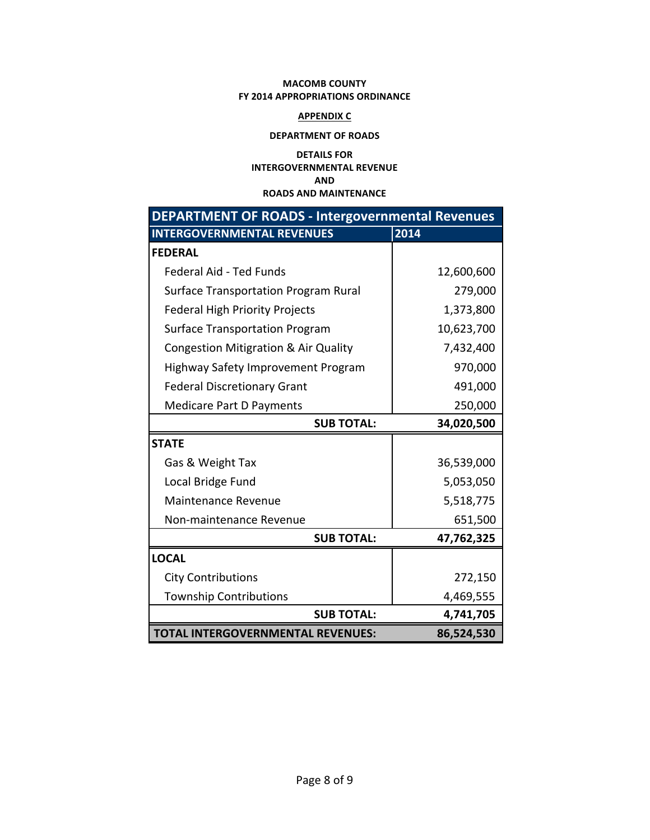#### **MACOMB COUNTY FY 2014 APPROPRIATIONS ORDINANCE**

#### **APPENDIX C**

#### **DEPARTMENT OF ROADS**

#### **DETAILS FOR INTERGOVERNMENTAL REVENUE AND ROADS AND MAINTENANCE**

| <b>DEPARTMENT OF ROADS - Intergovernmental Revenues</b> |            |  |  |  |  |  |
|---------------------------------------------------------|------------|--|--|--|--|--|
| <b>INTERGOVERNMENTAL REVENUES</b>                       | 2014       |  |  |  |  |  |
| <b>FEDERAL</b>                                          |            |  |  |  |  |  |
| <b>Federal Aid - Ted Funds</b>                          | 12,600,600 |  |  |  |  |  |
| <b>Surface Transportation Program Rural</b>             | 279,000    |  |  |  |  |  |
| <b>Federal High Priority Projects</b>                   | 1,373,800  |  |  |  |  |  |
| <b>Surface Transportation Program</b>                   | 10,623,700 |  |  |  |  |  |
| Congestion Mitigration & Air Quality                    | 7,432,400  |  |  |  |  |  |
| Highway Safety Improvement Program                      | 970,000    |  |  |  |  |  |
| <b>Federal Discretionary Grant</b>                      | 491,000    |  |  |  |  |  |
| Medicare Part D Payments                                | 250,000    |  |  |  |  |  |
| <b>SUB TOTAL:</b>                                       | 34,020,500 |  |  |  |  |  |
| <b>STATE</b>                                            |            |  |  |  |  |  |
| Gas & Weight Tax                                        | 36,539,000 |  |  |  |  |  |
| Local Bridge Fund                                       | 5,053,050  |  |  |  |  |  |
| <b>Maintenance Revenue</b>                              | 5,518,775  |  |  |  |  |  |
| Non-maintenance Revenue                                 | 651,500    |  |  |  |  |  |
| <b>SUB TOTAL:</b>                                       | 47,762,325 |  |  |  |  |  |
| <b>LOCAL</b>                                            |            |  |  |  |  |  |
| <b>City Contributions</b>                               | 272,150    |  |  |  |  |  |
| <b>Township Contributions</b>                           | 4,469,555  |  |  |  |  |  |
| <b>SUB TOTAL:</b>                                       | 4,741,705  |  |  |  |  |  |
| <b>TOTAL INTERGOVERNMENTAL REVENUES:</b>                | 86,524,530 |  |  |  |  |  |